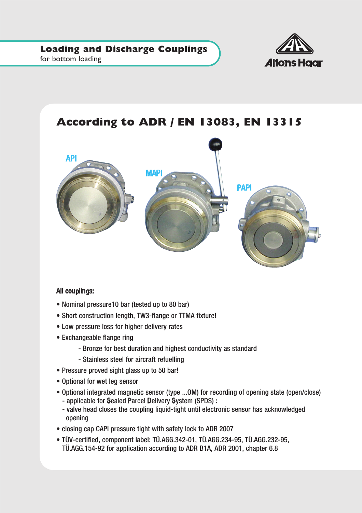

#### for bottom loading

# **According to ADR / EN 13083, EN 13315**



#### All couplings:

- Nominal pressure10 bar (tested up to 80 bar)
- Short construction length, TW3-flange or TTMA fixture!
- Low pressure loss for higher delivery rates
- Exchangeable flange ring
	- Bronze for best duration and highest conductivity as standard
	- Stainless steel for aircraft refuelling
- Pressure proved sight glass up to 50 bar!
- Optional for wet leg sensor
- Optional integrated magnetic sensor (type ...OM) for recording of opening state (open/close)
	- applicable for Sealed Parcel Delivery System (SPDS) :
	- valve head closes the coupling liquid-tight until electronic sensor has acknowledged opening
- closing cap CAPI pressure tight with safety lock to ADR 2007
- TÜV-certified, component label: TÜ.AGG.342-01, TÜ.AGG.234-95, TÜ.AGG.232-95, TÜ.AGG.154-92 for application according to ADR B1A, ADR 2001, chapter 6.8